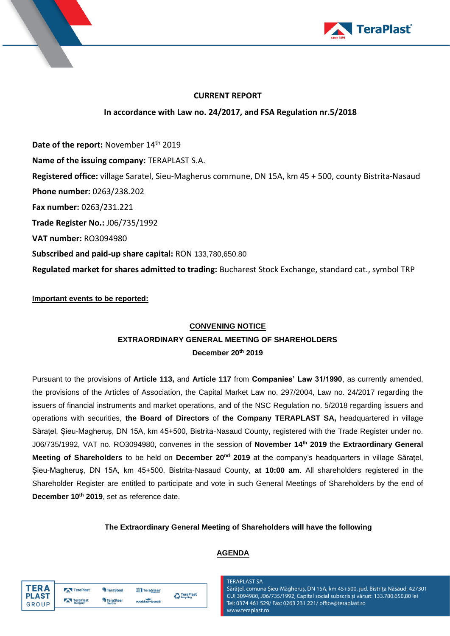



# **CURRENT REPORT**

# **In accordance with Law no. 24/2017, and FSA Regulation nr.5/2018**

Date of the report: November 14<sup>th</sup> 2019 **Name of the issuing company:** TERAPLAST S.A. **Registered office:** village Saratel, Sieu-Magherus commune, DN 15A, km 45 + 500, county Bistrita-Nasaud **Phone number:** 0263/238.202 **Fax number:** 0263/231.221 **Trade Register No.:** J06/735/1992 **VAT number:** RO3094980 **Subscribed and paid-up share capital:** RON 133,780,650.80 **Regulated market for shares admitted to trading:** Bucharest Stock Exchange, standard cat., symbol TRP

# **Important events to be reported:**

# **CONVENING NOTICE**

# **EXTRAORDINARY GENERAL MEETING OF SHAREHOLDERS December 20th 2019**

Pursuant to the provisions of **Article 113,** and **Article 117** from **Companies' Law 31/1990**, as currently amended, the provisions of the Articles of Association, the Capital Market Law no. 297/2004, Law no. 24/2017 regarding the issuers of financial instruments and market operations, and of the NSC Regulation no. 5/2018 regarding issuers and operations with securities, **the Board of Directors** of **the Company TERAPLAST SA,** headquartered in village Săraţel, Șieu-Magheruș, DN 15A, km 45+500, Bistrita-Nasaud County, registered with the Trade Register under no. J06/735/1992, VAT no. RO3094980, convenes in the session of **November 14 th 2019** the **Extraordinary General Meeting of Shareholders** to be held on **December 20 nd 2019** at the company's headquarters in village Săraţel, Șieu-Magheruș, DN 15A, km 45+500, Bistrita-Nasaud County, **at 10:00 am**. All shareholders registered in the Shareholder Register are entitled to participate and vote in such General Meetings of Shareholders by the end of **December 10 th 2019**, set as reference date.

# **The Extraordinary General Meeting of Shareholders will have the following**

# **AGENDA**

| TFR A        | TeraPlast | TeraSteel               | TeraGlass  |                                 |
|--------------|-----------|-------------------------|------------|---------------------------------|
| <b>PLAST</b> | TeraPlast | <sup>th</sup> TeraSteel |            | <b>A</b> TeraPlast<br>Recycling |
| GROUP        | Hungary   | <b>Serbia</b>           | wetterbest |                                 |

### **TFRAPI AST SA**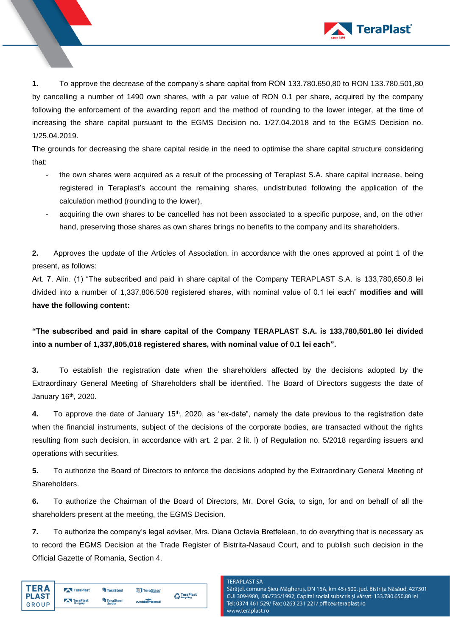

**1.** To approve the decrease of the company's share capital from RON 133.780.650,80 to RON 133.780.501,80 by cancelling a number of 1490 own shares, with a par value of RON 0.1 per share, acquired by the company following the enforcement of the awarding report and the method of rounding to the lower integer, at the time of increasing the share capital pursuant to the EGMS Decision no. 1/27.04.2018 and to the EGMS Decision no. 1/25.04.2019.

The grounds for decreasing the share capital reside in the need to optimise the share capital structure considering that:

- the own shares were acquired as a result of the processing of Teraplast S.A. share capital increase, being registered in Teraplast's account the remaining shares, undistributed following the application of the calculation method (rounding to the lower),
- acquiring the own shares to be cancelled has not been associated to a specific purpose, and, on the other hand, preserving those shares as own shares brings no benefits to the company and its shareholders.

**2.** Approves the update of the Articles of Association, in accordance with the ones approved at point 1 of the present, as follows:

Art. 7. Alin. (1) "The subscribed and paid in share capital of the Company TERAPLAST S.A. is 133,780,650.8 lei divided into a number of 1,337,806,508 registered shares, with nominal value of 0.1 lei each" **modifies and will have the following content:**

**"The subscribed and paid in share capital of the Company TERAPLAST S.A. is 133,780,501.80 lei divided into a number of 1,337,805,018 registered shares, with nominal value of 0.1 lei each".**

**3.** To establish the registration date when the shareholders affected by the decisions adopted by the Extraordinary General Meeting of Shareholders shall be identified. The Board of Directors suggests the date of January 16<sup>th</sup>, 2020.

**4.** To approve the date of January 15<sup>th</sup>, 2020, as "ex-date", namely the date previous to the registration date when the financial instruments, subject of the decisions of the corporate bodies, are transacted without the rights resulting from such decision, in accordance with art. 2 par. 2 lit. l) of Regulation no. 5/2018 regarding issuers and operations with securities.

**5.** To authorize the Board of Directors to enforce the decisions adopted by the Extraordinary General Meeting of Shareholders.

**6.** To authorize the Chairman of the Board of Directors, Mr. Dorel Goia, to sign, for and on behalf of all the shareholders present at the meeting, the EGMS Decision.

**7.** To authorize the company's legal adviser, Mrs. Diana Octavia Bretfelean, to do everything that is necessary as to record the EGMS Decision at the Trade Register of Bistrita-Nasaud Court, and to publish such decision in the Official Gazette of Romania, Section 4.

| TFR A        | TeraPlast | <sup>4</sup> TeraSteel | TeraGlass  | <b>A</b> TeraPlast |
|--------------|-----------|------------------------|------------|--------------------|
| <b>PLAST</b> | TeraPlast | <b>TeraSteel</b>       |            | Recycling          |
| GROUP        | Hungary   | <b>Serbia</b>          | wetterbest |                    |

#### **TFRAPLAST SA**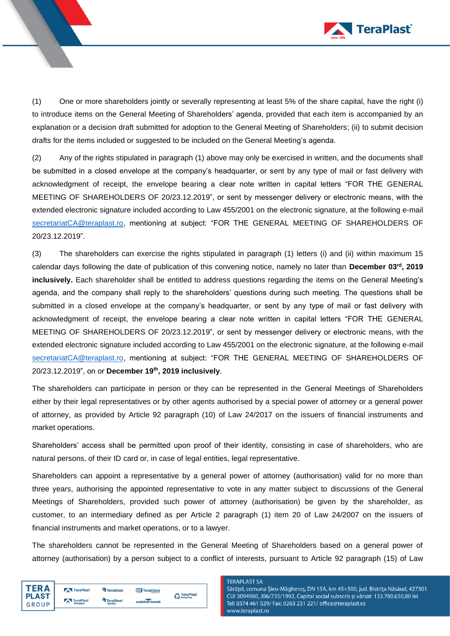

(1) One or more shareholders jointly or severally representing at least 5% of the share capital, have the right (i) to introduce items on the General Meeting of Shareholders' agenda, provided that each item is accompanied by an explanation or a decision draft submitted for adoption to the General Meeting of Shareholders; (ii) to submit decision drafts for the items included or suggested to be included on the General Meeting's agenda.

(2) Any of the rights stipulated in paragraph (1) above may only be exercised in written, and the documents shall be submitted in a closed envelope at the company's headquarter, or sent by any type of mail or fast delivery with acknowledgment of receipt, the envelope bearing a clear note written in capital letters "FOR THE GENERAL MEETING OF SHAREHOLDERS OF 20/23.12.2019", or sent by messenger delivery or electronic means, with the extended electronic signature included according to Law 455/2001 on the electronic signature, at the following e-mail [secretariatCA@teraplast.ro,](mailto:secretariatCA@teraplast.ro) mentioning at subject: "FOR THE GENERAL MEETING OF SHAREHOLDERS OF 20/23.12.2019".

(3) The shareholders can exercise the rights stipulated in paragraph (1) letters (i) and (ii) within maximum 15 calendar days following the date of publication of this convening notice, namely no later than **December 03rd, 2019 inclusively.** Each shareholder shall be entitled to address questions regarding the items on the General Meeting's agenda, and the company shall reply to the shareholders' questions during such meeting. The questions shall be submitted in a closed envelope at the company's headquarter, or sent by any type of mail or fast delivery with acknowledgment of receipt, the envelope bearing a clear note written in capital letters "FOR THE GENERAL MEETING OF SHAREHOLDERS OF 20/23.12.2019", or sent by messenger delivery or electronic means, with the extended electronic signature included according to Law 455/2001 on the electronic signature, at the following e-mail [secretariatCA@teraplast.ro,](mailto:secretariatCA@teraplast.ro) mentioning at subject: "FOR THE GENERAL MEETING OF SHAREHOLDERS OF 20/23.12.2019", on or **December 19th , 2019 inclusively**.

The shareholders can participate in person or they can be represented in the General Meetings of Shareholders either by their legal representatives or by other agents authorised by a special power of attorney or a general power of attorney, as provided by Article 92 paragraph (10) of Law 24/2017 on the issuers of financial instruments and market operations.

Shareholders' access shall be permitted upon proof of their identity, consisting in case of shareholders, who are natural persons, of their ID card or, in case of legal entities, legal representative.

Shareholders can appoint a representative by a general power of attorney (authorisation) valid for no more than three years, authorising the appointed representative to vote in any matter subject to discussions of the General Meetings of Shareholders, provided such power of attorney (authorisation) be given by the shareholder, as customer, to an intermediary defined as per Article 2 paragraph (1) item 20 of Law 24/2007 on the issuers of financial instruments and market operations, or to a lawyer.

The shareholders cannot be represented in the General Meeting of Shareholders based on a general power of attorney (authorisation) by a person subject to a conflict of interests, pursuant to Article 92 paragraph (15) of Law

| TFR A        | TeraPlast | <sup>L</sup> a TeraSteel | <b>TIT</b> TeraGlass | <b>A</b> TeraPlast |
|--------------|-----------|--------------------------|----------------------|--------------------|
| <b>PLAST</b> | TeraPlast | <b>TeraSteel</b>         |                      | Recycling          |
| GROUP        | Hungary   | <b>Serbia</b>            | wetterbest           |                    |

### **TERAPLAST SA**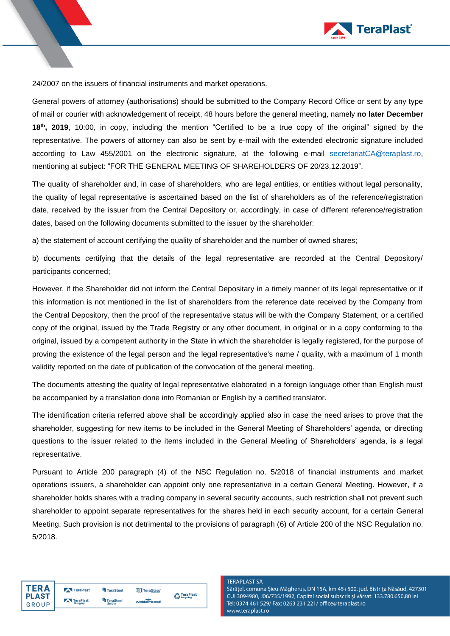

24/2007 on the issuers of financial instruments and market operations.

General powers of attorney (authorisations) should be submitted to the Company Record Office or sent by any type of mail or courier with acknowledgement of receipt, 48 hours before the general meeting, namely **no later December 18th, 2019**, 10:00, in copy, including the mention "Certified to be a true copy of the original" signed by the representative. The powers of attorney can also be sent by e-mail with the extended electronic signature included according to Law 455/2001 on the electronic signature, at the following e-mail [secretariatCA@teraplast.ro,](mailto:secretariatCA@teraplast.ro) mentioning at subject: "FOR THE GENERAL MEETING OF SHAREHOLDERS OF 20/23.12.2019".

The quality of shareholder and, in case of shareholders, who are legal entities, or entities without legal personality, the quality of legal representative is ascertained based on the list of shareholders as of the reference/registration date, received by the issuer from the Central Depository or, accordingly, in case of different reference/registration dates, based on the following documents submitted to the issuer by the shareholder:

a) the statement of account certifying the quality of shareholder and the number of owned shares;

b) documents certifying that the details of the legal representative are recorded at the Central Depository/ participants concerned;

However, if the Shareholder did not inform the Central Depositary in a timely manner of its legal representative or if this information is not mentioned in the list of shareholders from the reference date received by the Company from the Central Depository, then the proof of the representative status will be with the Company Statement, or a certified copy of the original, issued by the Trade Registry or any other document, in original or in a copy conforming to the original, issued by a competent authority in the State in which the shareholder is legally registered, for the purpose of proving the existence of the legal person and the legal representative's name / quality, with a maximum of 1 month validity reported on the date of publication of the convocation of the general meeting.

The documents attesting the quality of legal representative elaborated in a foreign language other than English must be accompanied by a translation done into Romanian or English by a certified translator.

The identification criteria referred above shall be accordingly applied also in case the need arises to prove that the shareholder, suggesting for new items to be included in the General Meeting of Shareholders' agenda, or directing questions to the issuer related to the items included in the General Meeting of Shareholders' agenda, is a legal representative.

Pursuant to Article 200 paragraph (4) of the NSC Regulation no. 5/2018 of financial instruments and market operations issuers, a shareholder can appoint only one representative in a certain General Meeting. However, if a shareholder holds shares with a trading company in several security accounts, such restriction shall not prevent such shareholder to appoint separate representatives for the shares held in each security account, for a certain General Meeting. Such provision is not detrimental to the provisions of paragraph (6) of Article 200 of the NSC Regulation no. 5/2018.



| TeraPlast                   | <sup>4</sup> TeraSteel                    | TeraGlass  | <b>A</b> TeraPlast |
|-----------------------------|-------------------------------------------|------------|--------------------|
| <b>TeraPlast</b><br>Hungary | <sup>t</sup> a TeraSteel<br><b>Serbia</b> | wetterbest | Recycling          |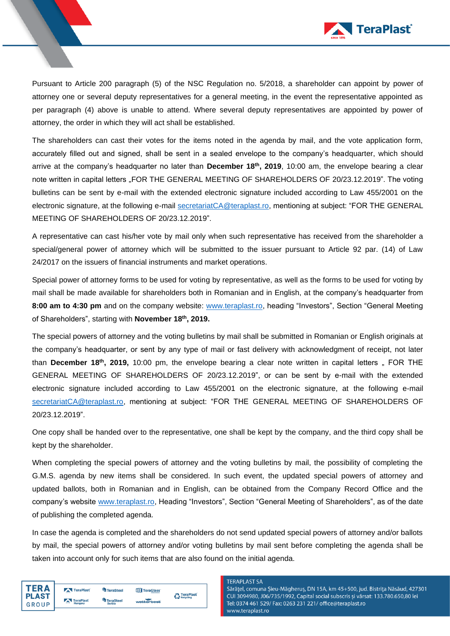

Pursuant to Article 200 paragraph (5) of the NSC Regulation no. 5/2018, a shareholder can appoint by power of attorney one or several deputy representatives for a general meeting, in the event the representative appointed as per paragraph (4) above is unable to attend. Where several deputy representatives are appointed by power of attorney, the order in which they will act shall be established.

The shareholders can cast their votes for the items noted in the agenda by mail, and the vote application form, accurately filled out and signed, shall be sent in a sealed envelope to the company's headquarter, which should arrive at the company's headquarter no later than **December 18th, 2019**, 10:00 am, the envelope bearing a clear note written in capital letters "FOR THE GENERAL MEETING OF SHAREHOLDERS OF 20/23.12.2019". The voting bulletins can be sent by e-mail with the extended electronic signature included according to Law 455/2001 on the electronic signature, at the following e-mail [secretariatCA@teraplast.ro,](mailto:secretariatCA@teraplast.ro) mentioning at subject: "FOR THE GENERAL MEETING OF SHAREHOLDERS OF 20/23.12.2019".

A representative can cast his/her vote by mail only when such representative has received from the shareholder a special/general power of attorney which will be submitted to the issuer pursuant to Article 92 par. (14) of Law 24/2017 on the issuers of financial instruments and market operations.

Special power of attorney forms to be used for voting by representative, as well as the forms to be used for voting by mail shall be made available for shareholders both in Romanian and in English, at the company's headquarter from **8:00 am to 4:30 pm** and on the company website: [www.teraplast.ro,](http://www.teraplast.ro/) heading "Investors", Section "General Meeting of Shareholders", starting with **November 18 th, 2019.**

The special powers of attorney and the voting bulletins by mail shall be submitted in Romanian or English originals at the company's headquarter, or sent by any type of mail or fast delivery with acknowledgment of receipt, not later than **December 18<sup>th</sup>, 2019,** 10:00 pm, the envelope bearing a clear note written in capital letters "FOR THE GENERAL MEETING OF SHAREHOLDERS OF 20/23.12.2019", or can be sent by e-mail with the extended electronic signature included according to Law 455/2001 on the electronic signature, at the following e-mail [secretariatCA@teraplast.ro,](mailto:secretariatCA@teraplast.ro) mentioning at subject: "FOR THE GENERAL MEETING OF SHAREHOLDERS OF 20/23.12.2019".

One copy shall be handed over to the representative, one shall be kept by the company, and the third copy shall be kept by the shareholder.

When completing the special powers of attorney and the voting bulletins by mail, the possibility of completing the G.M.S. agenda by new items shall be considered. In such event, the updated special powers of attorney and updated ballots, both in Romanian and in English, can be obtained from the Company Record Office and the company's website [www.teraplast.ro,](http://www.teraplast.ro/) Heading "Investors", Section "General Meeting of Shareholders", as of the date of publishing the completed agenda.

In case the agenda is completed and the shareholders do not send updated special powers of attorney and/or ballots by mail, the special powers of attorney and/or voting bulletins by mail sent before completing the agenda shall be taken into account only for such items that are also found on the initial agenda.

| TFR A        | TeraPlast                    | <b>TeraSteel</b>       | TeraGlass  | <b>A</b> TeraPlast |
|--------------|------------------------------|------------------------|------------|--------------------|
| <b>PLAST</b> | TeraPlast                    | <sup>4</sup> TeraSteel | wetterbest | Recycling          |
| GROUP        | <b>Contractor</b><br>Hungary | <b>Serbia</b>          |            |                    |

### **TERAPLAST SA**